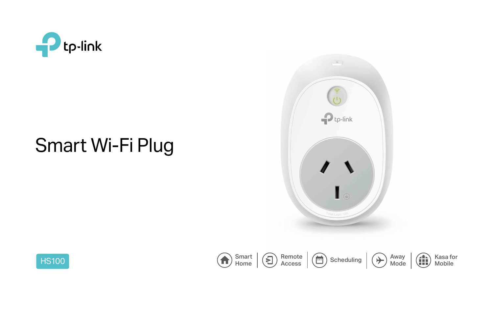



# Smart Wi-Fi Plug

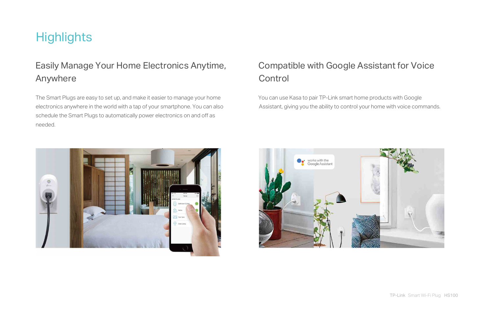The Smart Plugs are easy to set up, and make it easier to manage your home electronics anywhere in the world with a tap of your smartphone. You can also schedule the Smart Plugs to automatically power electronics on and off as needed.

# **Control**

# **Highlights**

# Easily Manage Your Home Electronics Anytime, Anywhere

 You can use Kasa to pair TP-Link smart home products with Google Assistant, giving you the ability to control your home with voice commands.





## Compatible with Google Assistant for Voice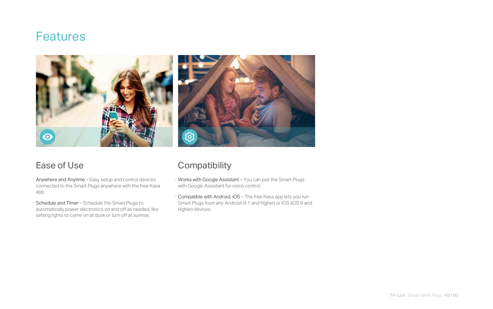# **Features**



- · Anywhere and Anytime Easy setup and control devices connected to the Smart Plugs anywhere with the free Kasa app.
- · Schedule and Timer Schedule the Smart Plugs to automatically power electronics on and off as needed, like setting lights to come on at dusk or turn off at sunrise.

## Ease of Use Compatibility

- · Works with Google Assistant You can pair the Smart Plugs with Google Assistant for voice control.
- · Compatible with Android, iOS The free Kasa app lets you run Smart Plugs from any Android (4.1 and higher) or iOS (iOS 9 and higher) devices.



TP-Link Smart Wi-Fi Plug HS100